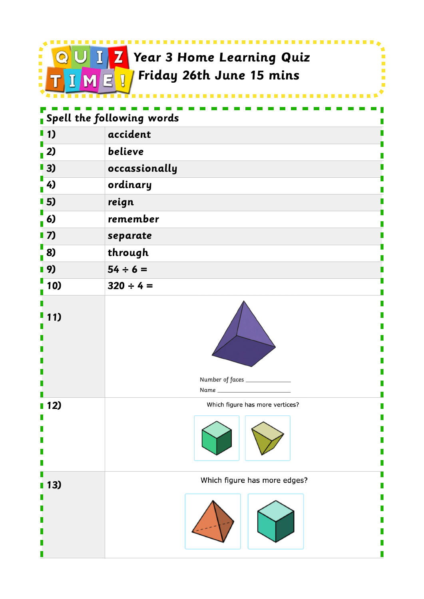

 **Year 3 Home Learning Quiz Friday 26th June 15 mins**

I Ē Ì.

| .                         |                                         |  |
|---------------------------|-----------------------------------------|--|
| Spell the following words |                                         |  |
| $\blacksquare$ 1)         | accident                                |  |
| $\sqrt{2}$                | believe                                 |  |
| $\blacksquare$ 3)         | occassionally                           |  |
| $\frac{1}{2}$ 4)          | ordinary                                |  |
| 15)                       | reign                                   |  |
| $\frac{1}{1}$ 6)          | remember                                |  |
| $\blacksquare$ 7)         | separate                                |  |
| 8)                        | through                                 |  |
| Ⅰ9)                       | $54 \div 6 =$                           |  |
| 10)                       | $320 \div 4 =$                          |  |
| 11)                       | Number of faces ______________<br>Name_ |  |
| ■ 12)                     | Which figure has more vertices?         |  |
| 13)                       | Which figure has more edges?            |  |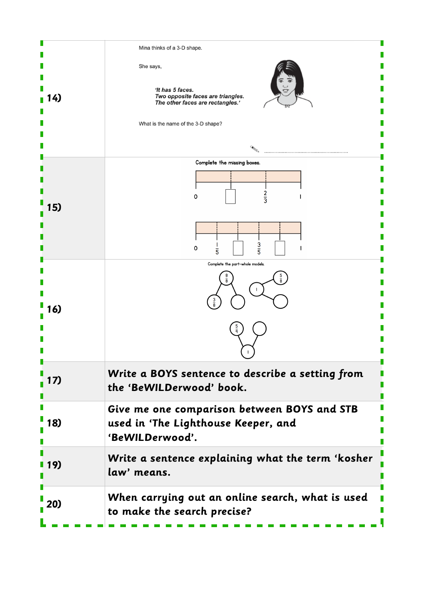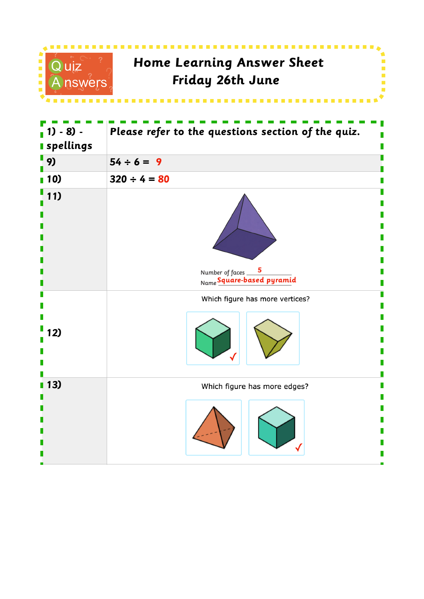

| $1) - 8$ ) -<br><b>spellings</b> | Please refer to the questions section of the quiz.                         |
|----------------------------------|----------------------------------------------------------------------------|
| 9)                               | $54 \div 6 = 9$                                                            |
| 10)                              | $320 \div 4 = 80$                                                          |
| 11)                              | $\overline{\mathbf{5}}$<br>Number of faces __<br>Name Square-based pyramid |
| 12)                              | Which figure has more vertices?                                            |
| 13)                              | Which figure has more edges?                                               |